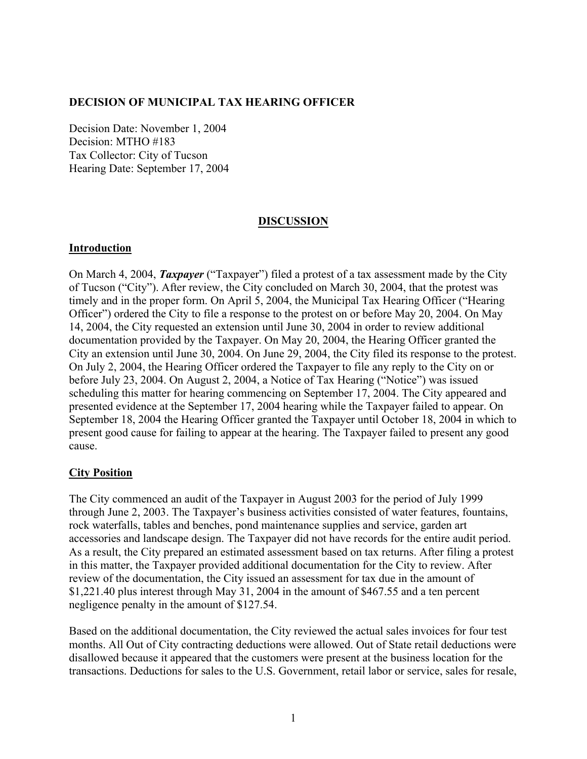### **DECISION OF MUNICIPAL TAX HEARING OFFICER**

Decision Date: November 1, 2004 Decision: MTHO #183 Tax Collector: City of Tucson Hearing Date: September 17, 2004

#### **DISCUSSION**

#### **Introduction**

On March 4, 2004, *Taxpayer* ("Taxpayer") filed a protest of a tax assessment made by the City of Tucson ("City"). After review, the City concluded on March 30, 2004, that the protest was timely and in the proper form. On April 5, 2004, the Municipal Tax Hearing Officer ("Hearing Officer") ordered the City to file a response to the protest on or before May 20, 2004. On May 14, 2004, the City requested an extension until June 30, 2004 in order to review additional documentation provided by the Taxpayer. On May 20, 2004, the Hearing Officer granted the City an extension until June 30, 2004. On June 29, 2004, the City filed its response to the protest. On July 2, 2004, the Hearing Officer ordered the Taxpayer to file any reply to the City on or before July 23, 2004. On August 2, 2004, a Notice of Tax Hearing ("Notice") was issued scheduling this matter for hearing commencing on September 17, 2004. The City appeared and presented evidence at the September 17, 2004 hearing while the Taxpayer failed to appear. On September 18, 2004 the Hearing Officer granted the Taxpayer until October 18, 2004 in which to present good cause for failing to appear at the hearing. The Taxpayer failed to present any good cause.

## **City Position**

The City commenced an audit of the Taxpayer in August 2003 for the period of July 1999 through June 2, 2003. The Taxpayer's business activities consisted of water features, fountains, rock waterfalls, tables and benches, pond maintenance supplies and service, garden art accessories and landscape design. The Taxpayer did not have records for the entire audit period. As a result, the City prepared an estimated assessment based on tax returns. After filing a protest in this matter, the Taxpayer provided additional documentation for the City to review. After review of the documentation, the City issued an assessment for tax due in the amount of \$1,221.40 plus interest through May 31, 2004 in the amount of \$467.55 and a ten percent negligence penalty in the amount of \$127.54.

Based on the additional documentation, the City reviewed the actual sales invoices for four test months. All Out of City contracting deductions were allowed. Out of State retail deductions were disallowed because it appeared that the customers were present at the business location for the transactions. Deductions for sales to the U.S. Government, retail labor or service, sales for resale,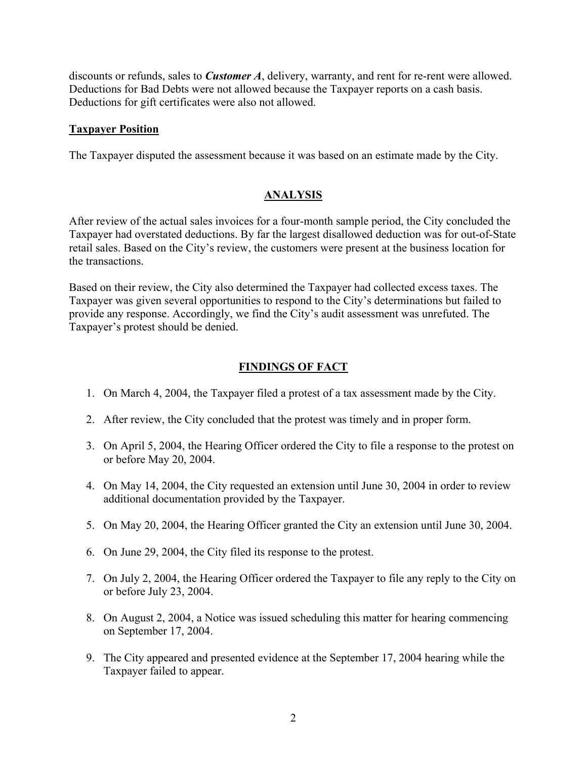discounts or refunds, sales to *Customer A*, delivery, warranty, and rent for re-rent were allowed. Deductions for Bad Debts were not allowed because the Taxpayer reports on a cash basis. Deductions for gift certificates were also not allowed.

#### **Taxpayer Position**

The Taxpayer disputed the assessment because it was based on an estimate made by the City.

# **ANALYSIS**

After review of the actual sales invoices for a four-month sample period, the City concluded the Taxpayer had overstated deductions. By far the largest disallowed deduction was for out-of-State retail sales. Based on the City's review, the customers were present at the business location for the transactions.

Based on their review, the City also determined the Taxpayer had collected excess taxes. The Taxpayer was given several opportunities to respond to the City's determinations but failed to provide any response. Accordingly, we find the City's audit assessment was unrefuted. The Taxpayer's protest should be denied.

# **FINDINGS OF FACT**

- 1. On March 4, 2004, the Taxpayer filed a protest of a tax assessment made by the City.
- 2. After review, the City concluded that the protest was timely and in proper form.
- 3. On April 5, 2004, the Hearing Officer ordered the City to file a response to the protest on or before May 20, 2004.
- 4. On May 14, 2004, the City requested an extension until June 30, 2004 in order to review additional documentation provided by the Taxpayer.
- 5. On May 20, 2004, the Hearing Officer granted the City an extension until June 30, 2004.
- 6. On June 29, 2004, the City filed its response to the protest.
- 7. On July 2, 2004, the Hearing Officer ordered the Taxpayer to file any reply to the City on or before July 23, 2004.
- 8. On August 2, 2004, a Notice was issued scheduling this matter for hearing commencing on September 17, 2004.
- 9. The City appeared and presented evidence at the September 17, 2004 hearing while the Taxpayer failed to appear.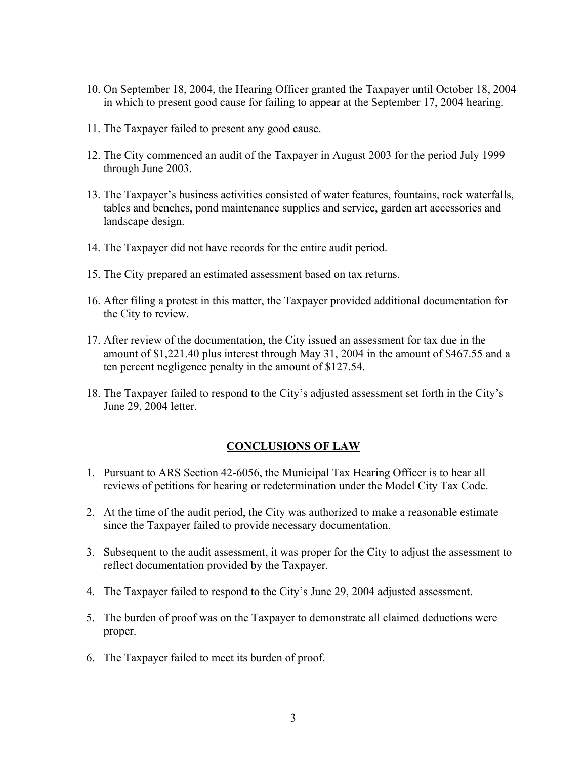- 10. On September 18, 2004, the Hearing Officer granted the Taxpayer until October 18, 2004 in which to present good cause for failing to appear at the September 17, 2004 hearing.
- 11. The Taxpayer failed to present any good cause.
- 12. The City commenced an audit of the Taxpayer in August 2003 for the period July 1999 through June 2003.
- 13. The Taxpayer's business activities consisted of water features, fountains, rock waterfalls, tables and benches, pond maintenance supplies and service, garden art accessories and landscape design.
- 14. The Taxpayer did not have records for the entire audit period.
- 15. The City prepared an estimated assessment based on tax returns.
- 16. After filing a protest in this matter, the Taxpayer provided additional documentation for the City to review.
- 17. After review of the documentation, the City issued an assessment for tax due in the amount of \$1,221.40 plus interest through May 31, 2004 in the amount of \$467.55 and a ten percent negligence penalty in the amount of \$127.54.
- 18. The Taxpayer failed to respond to the City's adjusted assessment set forth in the City's June 29, 2004 letter.

## **CONCLUSIONS OF LAW**

- 1. Pursuant to ARS Section 42-6056, the Municipal Tax Hearing Officer is to hear all reviews of petitions for hearing or redetermination under the Model City Tax Code.
- 2. At the time of the audit period, the City was authorized to make a reasonable estimate since the Taxpayer failed to provide necessary documentation.
- 3. Subsequent to the audit assessment, it was proper for the City to adjust the assessment to reflect documentation provided by the Taxpayer.
- 4. The Taxpayer failed to respond to the City's June 29, 2004 adjusted assessment.
- 5. The burden of proof was on the Taxpayer to demonstrate all claimed deductions were proper.
- 6. The Taxpayer failed to meet its burden of proof.